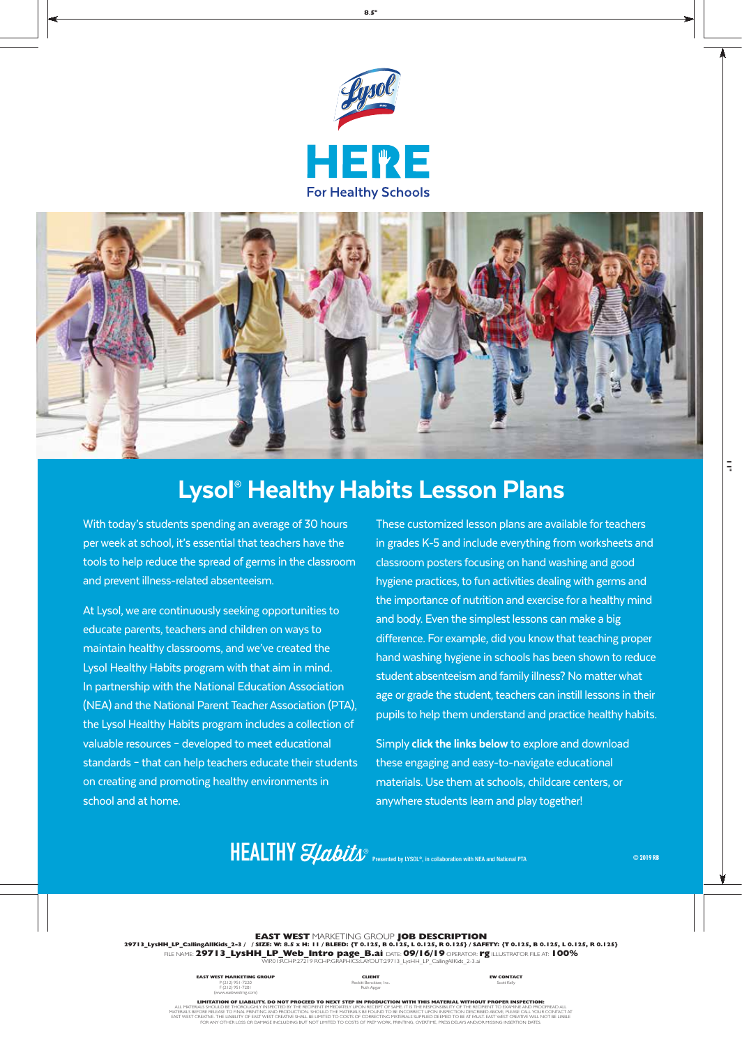



# Lysol® Healthy Habits Lesson Plans

With today's students spending an average of 30 hours per week at school, it's essential that teachers have the tools to help reduce the spread of germs in the classroom and prevent illness-related absenteeism.

At Lysol, we are continuously seeking opportunities to educate parents, teachers and children on ways to maintain healthy classrooms, and we've created the Lysol Healthy Habits program with that aim in mind. In partnership with the National Education Association (NEA) and the National Parent Teacher Association (PTA), the Lysol Healthy Habits program includes a collection of valuable resources – developed to meet educational standards – that can help teachers educate their students on creating and promoting healthy environments in school and at home.

These customized lesson plans are available for teachers in grades K-5 and include everything from worksheets and classroom posters focusing on hand washing and good hygiene practices, to fun activities dealing with germs and the importance of nutrition and exercise for a healthy mind and body. Even the simplest lessons can make a big difference. For example, did you know that teaching proper hand washing hygiene in schools has been shown to reduce student absenteeism and family illness? No matter what age or grade the student, teachers can instill lessons in their pupils to help them understand and practice healthy habits.

Simply click the links below to explore and download these engaging and easy-to-navigate educational materials. Use them at schools, childcare centers, or anywhere students learn and play together!

# HEALTHY *SJabits* **Presented by LYSOL®**, in collaboration with NEA and National PTA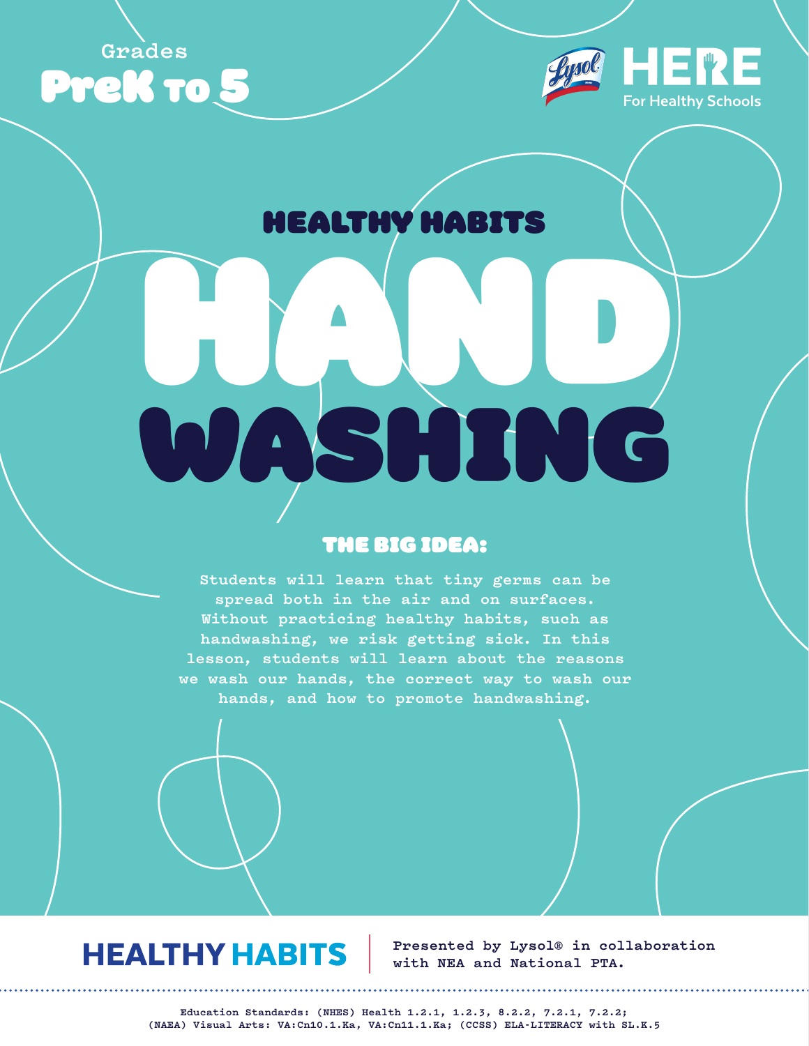**Grades**





# HEALTHY HABITS

# HAND SHING

# THE BIG IDEA:

**Students will learn that tiny germs can be spread both in the air and on surfaces. Without practicing healthy habits, such as handwashing, we risk getting sick. In this lesson, students will learn about the reasons we wash our hands, the correct way to wash our hands, and how to promote handwashing.**

# **HEALTHY HABITS**

**Presented by Lysol® in collaboration with NEA and National PTA.**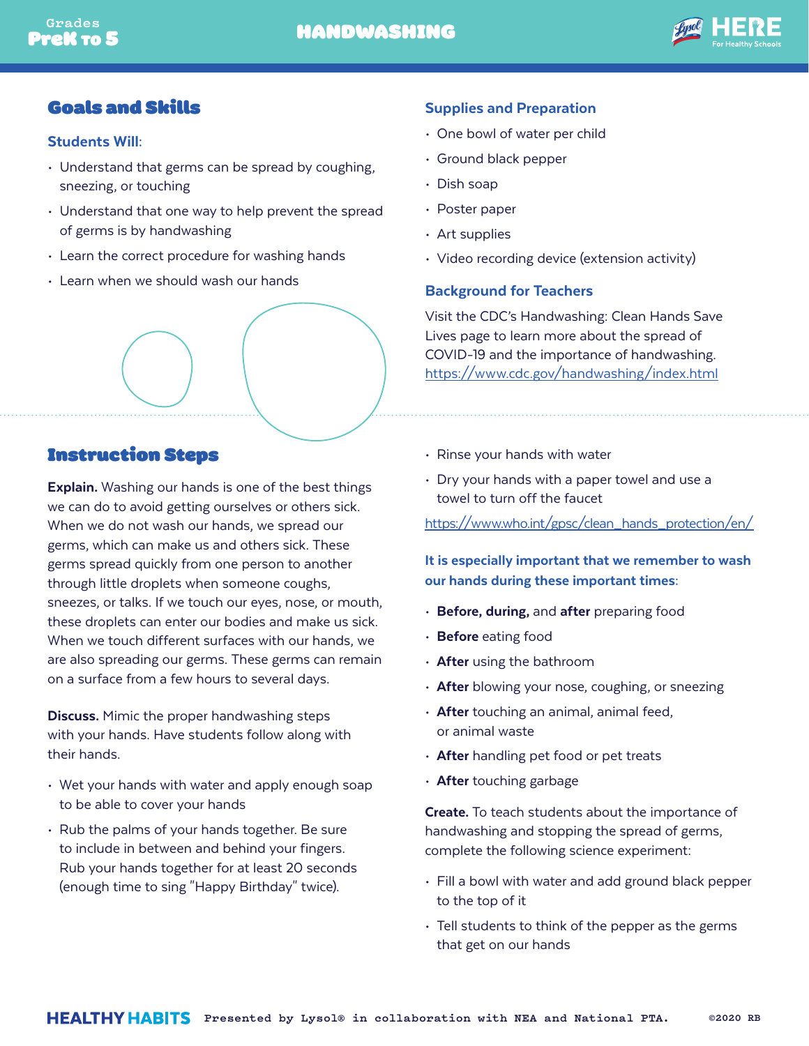

## Goals and Skills

#### Students Will:

- Understand that germs can be spread by coughing, sneezing, or touching
- Understand that one way to help prevent the spread of germs is by handwashing
- Learn the correct procedure for washing hands
- Learn when we should wash our hands

#### Supplies and Preparation

- One bowl of water per child
- Ground black pepper
- Dish soap
- Poster paper
- Art supplies
- Video recording device (extension activity)

#### Background for Teachers

Visit the CDC's Handwashing: Clean Hands Save Lives page to learn more about the spread of COVID-19 and the importance of handwashing. <https://www.cdc.gov/handwashing/index.html>

## Instruction Steps

**Explain.** Washing our hands is one of the best things we can do to avoid getting ourselves or others sick. When we do not wash our hands, we spread our germs, which can make us and others sick. These germs spread quickly from one person to another through little droplets when someone coughs, sneezes, or talks. If we touch our eyes, nose, or mouth, these droplets can enter our bodies and make us sick. When we touch different surfaces with our hands, we are also spreading our germs. These germs can remain on a surface from a few hours to several days.

**Discuss.** Mimic the proper handwashing steps with your hands. Have students follow along with their hands.

- Wet your hands with water and apply enough soap to be able to cover your hands
- Rub the palms of your hands together. Be sure to include in between and behind your fingers. Rub your hands together for at least 20 seconds (enough time to sing "Happy Birthday" twice).
- Rinse your hands with water
- Dry your hands with a paper towel and use a towel to turn off the faucet

[https://www.who.int/gpsc/clean\\_hands\\_protection/en/](https://www.who.int/gpsc/clean_hands_protection/en/)

It is especially important that we remember to wash our hands during these important times:

- Before, during, and after preparing food
- Before eating food
- After using the bathroom
- After blowing your nose, coughing, or sneezing
- $\cdot$  After touching an animal, animal feed, or animal waste
- After handling pet food or pet treats
- After touching garbage

Create. To teach students about the importance of handwashing and stopping the spread of germs, complete the following science experiment:

- Fill a bowl with water and add ground black pepper to the top of it
- Tell students to think of the pepper as the germs that get on our hands